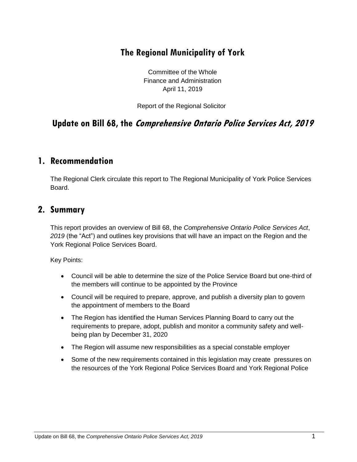# **The Regional Municipality of York**

Committee of the Whole Finance and Administration April 11, 2019

Report of the Regional Solicitor

**Update on Bill 68, the Comprehensive Ontario Police Services Act, 2019**

#### **1. Recommendation**

The Regional Clerk circulate this report to The Regional Municipality of York Police Services Board.

#### **2. Summary**

This report provides an overview of Bill 68, the *Comprehensive Ontario Police Services Act*, *2019* (the "Act") and outlines key provisions that will have an impact on the Region and the York Regional Police Services Board.

Key Points:

- Council will be able to determine the size of the Police Service Board but one-third of the members will continue to be appointed by the Province
- Council will be required to prepare, approve, and publish a diversity plan to govern the appointment of members to the Board
- The Region has identified the Human Services Planning Board to carry out the requirements to prepare, adopt, publish and monitor a community safety and wellbeing plan by December 31, 2020
- The Region will assume new responsibilities as a special constable employer
- Some of the new requirements contained in this legislation may create pressures on the resources of the York Regional Police Services Board and York Regional Police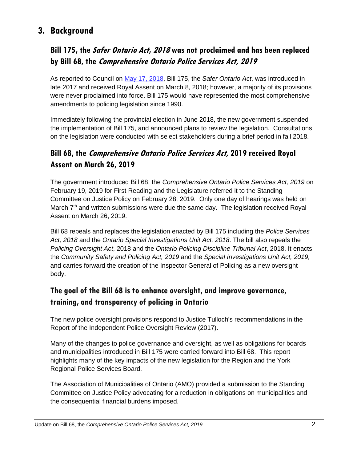# **3. Background**

### **Bill 175, the Safer Ontario Act, <sup>2018</sup> was not proclaimed and has been replaced by Bill 68, the Comprehensive Ontario Police Services Act, 2019**

As reported to Council on [May 17, 2018,](https://www.york.ca/wps/wcm/connect/yorkpublic/7379efff-6099-4d5f-8a08-def3079e2bc4/may+10+bill+175+ex.pdf?MOD=AJPERES) Bill 175, the *Safer Ontario Act*, was introduced in late 2017 and received Royal Assent on March 8, 2018; however, a majority of its provisions were never proclaimed into force. Bill 175 would have represented the most comprehensive amendments to policing legislation since 1990.

Immediately following the provincial election in June 2018, the new government suspended the implementation of Bill 175, and announced plans to review the legislation. Consultations on the legislation were conducted with select stakeholders during a brief period in fall 2018.

# **Bill 68, the Comprehensive Ontario Police Services Act, 2019 received Royal Assent on March 26, 2019**

The government introduced Bill 68, the *Comprehensive Ontario Police Services Act, 2019* on February 19, 2019 for First Reading and the Legislature referred it to the Standing Committee on Justice Policy on February 28, 2019. Only one day of hearings was held on March 7<sup>th</sup> and written submissions were due the same day. The legislation received Royal Assent on March 26, 2019.

Bill 68 repeals and replaces the legislation enacted by Bill 175 including the *Police Services Act, 2018* and the *Ontario Special Investigations Unit Act, 2018*. The bill also repeals the *Policing Oversight Act*, 2018 and the *Ontario Policing Discipline Tribunal Act*, 2018. It enacts the *Community Safety and Policing Act, 2019* and the *Special Investigations Unit Act, 2019,* and carries forward the creation of the Inspector General of Policing as a new oversight body.

### **The goal of the Bill 68 is to enhance oversight, and improve governance, training, and transparency of policing in Ontario**

The new police oversight provisions respond to Justice Tulloch's recommendations in the Report of the Independent Police Oversight Review (2017).

Many of the changes to police governance and oversight, as well as obligations for boards and municipalities introduced in Bill 175 were carried forward into Bill 68. This report highlights many of the key impacts of the new legislation for the Region and the York Regional Police Services Board.

The Association of Municipalities of Ontario (AMO) provided a submission to the Standing Committee on Justice Policy advocating for a reduction in obligations on municipalities and the consequential financial burdens imposed.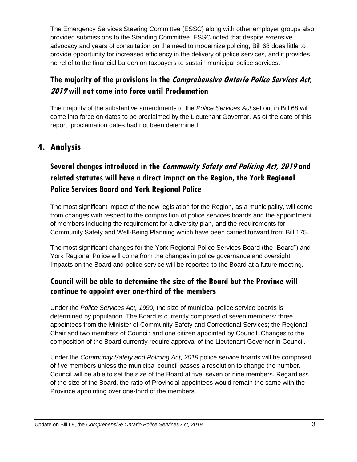The Emergency Services Steering Committee (ESSC) along with other employer groups also provided submissions to the Standing Committee. ESSC noted that despite extensive advocacy and years of consultation on the need to modernize policing, Bill 68 does little to provide opportunity for increased efficiency in the delivery of police services, and it provides no relief to the financial burden on taxpayers to sustain municipal police services.

# **The majority of the provisions in the Comprehensive Ontario Police Services Act, <sup>2019</sup> will not come into force until Proclamation**

The majority of the substantive amendments to the *Police Services Act* set out in Bill 68 will come into force on dates to be proclaimed by the Lieutenant Governor. As of the date of this report, proclamation dates had not been determined.

# **4. Analysis**

# **Several changes introduced in the Community Safety and Policing Act, <sup>2019</sup> and related statutes will have a direct impact on the Region, the York Regional Police Services Board and York Regional Police**

The most significant impact of the new legislation for the Region, as a municipality, will come from changes with respect to the composition of police services boards and the appointment of members including the requirement for a diversity plan, and the requirements for Community Safety and Well-Being Planning which have been carried forward from Bill 175.

The most significant changes for the York Regional Police Services Board (the "Board") and York Regional Police will come from the changes in police governance and oversight. Impacts on the Board and police service will be reported to the Board at a future meeting.

#### **Council will be able to determine the size of the Board but the Province will continue to appoint over one-third of the members**

Under the *Police Services Act, 1990,* the size of municipal police service boards is determined by population. The Board is currently composed of seven members: three appointees from the Minister of Community Safety and Correctional Services; the Regional Chair and two members of Council; and one citizen appointed by Council. Changes to the composition of the Board currently require approval of the Lieutenant Governor in Council.

Under the *Community Safety and Policing Act*, *2019* police service boards will be composed of five members unless the municipal council passes a resolution to change the number. Council will be able to set the size of the Board at five, seven or nine members. Regardless of the size of the Board, the ratio of Provincial appointees would remain the same with the Province appointing over one-third of the members.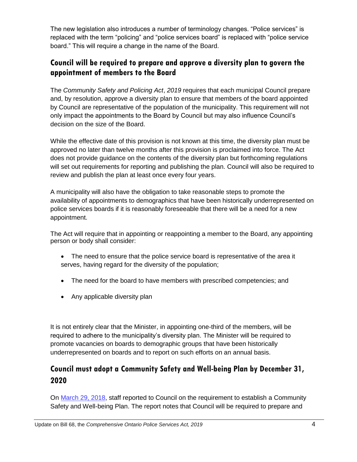The new legislation also introduces a number of terminology changes. "Police services" is replaced with the term "policing" and "police services board" is replaced with "police service board." This will require a change in the name of the Board.

#### **Council will be required to prepare and approve a diversity plan to govern the appointment of members to the Board**

The *Community Safety and Policing Act*, *2019* requires that each municipal Council prepare and, by resolution, approve a diversity plan to ensure that members of the board appointed by Council are representative of the population of the municipality. This requirement will not only impact the appointments to the Board by Council but may also influence Council's decision on the size of the Board.

While the effective date of this provision is not known at this time, the diversity plan must be approved no later than twelve months after this provision is proclaimed into force. The Act does not provide guidance on the contents of the diversity plan but forthcoming regulations will set out requirements for reporting and publishing the plan. Council will also be required to review and publish the plan at least once every four years.

A municipality will also have the obligation to take reasonable steps to promote the availability of appointments to demographics that have been historically underrepresented on police services boards if it is reasonably foreseeable that there will be a need for a new appointment.

The Act will require that in appointing or reappointing a member to the Board, any appointing person or body shall consider:

- The need to ensure that the police service board is representative of the area it serves, having regard for the diversity of the population;
- The need for the board to have members with prescribed competencies; and
- Any applicable diversity plan

It is not entirely clear that the Minister, in appointing one-third of the members, will be required to adhere to the municipality's diversity plan. The Minister will be required to promote vacancies on boards to demographic groups that have been historically underrepresented on boards and to report on such efforts on an annual basis.

#### **Council must adopt a Community Safety and Well-being Plan by December 31, 2020**

On [March 29, 2018,](https://www.york.ca/wps/wcm/connect/yorkpublic/81eedc61-ed07-4529-b1bb-6946100415da/mar+1+bill+175+ex.pdf?MOD=AJPERES) staff reported to Council on the requirement to establish a Community Safety and Well-being Plan. The report notes that Council will be required to prepare and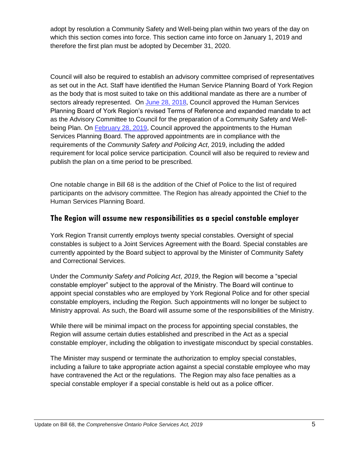adopt by resolution a Community Safety and Well-being plan within two years of the day on which this section comes into force. This section came into force on January 1, 2019 and therefore the first plan must be adopted by December 31, 2020.

Council will also be required to establish an advisory committee comprised of representatives as set out in the Act. Staff have identified the Human Service Planning Board of York Region as the body that is most suited to take on this additional mandate as there are a number of sectors already represented. On [June 28, 2018,](https://www.york.ca/wps/wcm/connect/yorkpublic/e9513feb-c6ad-4586-8c44-f982ba6d3ab4/jun+7+human+ex.pdf?MOD=AJPERES) Council approved the Human Services Planning Board of York Region's revised Terms of Reference and expanded mandate to act as the Advisory Committee to Council for the preparation of a Community Safety and Wellbeing Plan. On [February 28, 2019,](https://yorkpublishing.escribemeetings.com/filestream.ashx?DocumentId=3409) Council approved the appointments to the Human Services Planning Board. The approved appointments are in compliance with the requirements of the *Community Safety and Policing Act*, 2019, including the added requirement for local police service participation. Council will also be required to review and publish the plan on a time period to be prescribed.

One notable change in Bill 68 is the addition of the Chief of Police to the list of required participants on the advisory committee. The Region has already appointed the Chief to the Human Services Planning Board.

#### **The Region will assume new responsibilities as a special constable employer**

York Region Transit currently employs twenty special constables. Oversight of special constables is subject to a Joint Services Agreement with the Board. Special constables are currently appointed by the Board subject to approval by the Minister of Community Safety and Correctional Services.

Under the *Community Safety and Policing Act*, *2019*, the Region will become a "special constable employer" subject to the approval of the Ministry. The Board will continue to appoint special constables who are employed by York Regional Police and for other special constable employers, including the Region. Such appointments will no longer be subject to Ministry approval. As such, the Board will assume some of the responsibilities of the Ministry.

While there will be minimal impact on the process for appointing special constables, the Region will assume certain duties established and prescribed in the Act as a special constable employer, including the obligation to investigate misconduct by special constables.

The Minister may suspend or terminate the authorization to employ special constables, including a failure to take appropriate action against a special constable employee who may have contravened the Act or the regulations. The Region may also face penalties as a special constable employer if a special constable is held out as a police officer.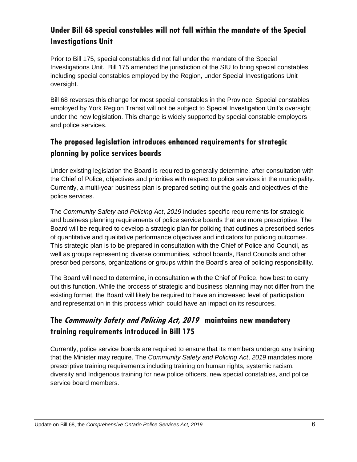### **Under Bill 68 special constables will not fall within the mandate of the Special Investigations Unit**

Prior to Bill 175, special constables did not fall under the mandate of the Special Investigations Unit. Bill 175 amended the jurisdiction of the SIU to bring special constables, including special constables employed by the Region, under Special Investigations Unit oversight.

Bill 68 reverses this change for most special constables in the Province. Special constables employed by York Region Transit will not be subject to Special Investigation Unit's oversight under the new legislation. This change is widely supported by special constable employers and police services.

### **The proposed legislation introduces enhanced requirements for strategic planning by police services boards**

Under existing legislation the Board is required to generally determine, after consultation with the Chief of Police, objectives and priorities with respect to police services in the municipality. Currently, a multi-year business plan is prepared setting out the goals and objectives of the police services.

The *Community Safety and Policing Act*, *2019* includes specific requirements for strategic and business planning requirements of police service boards that are more prescriptive. The Board will be required to develop a strategic plan for policing that outlines a prescribed series of quantitative and qualitative performance objectives and indicators for policing outcomes. This strategic plan is to be prepared in consultation with the Chief of Police and Council, as well as groups representing diverse communities, school boards, Band Councils and other prescribed persons, organizations or groups within the Board's area of policing responsibility.

The Board will need to determine, in consultation with the Chief of Police, how best to carry out this function. While the process of strategic and business planning may not differ from the existing format, the Board will likely be required to have an increased level of participation and representation in this process which could have an impact on its resources.

# **The Community Safety and Policing Act, 2019 maintains new mandatory training requirements introduced in Bill 175**

Currently, police service boards are required to ensure that its members undergo any training that the Minister may require. The *Community Safety and Policing Act*, *2019* mandates more prescriptive training requirements including training on human rights, systemic racism, diversity and Indigenous training for new police officers, new special constables, and police service board members.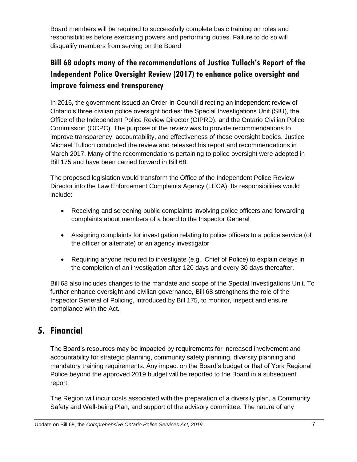Board members will be required to successfully complete basic training on roles and responsibilities before exercising powers and performing duties. Failure to do so will disqualify members from serving on the Board

# **Bill 68 adopts many of the recommendations of Justice Tulloch's Report of the Independent Police Oversight Review (2017) to enhance police oversight and improve fairness and transparency**

In 2016, the government issued an Order-in-Council directing an independent review of Ontario's three civilian police oversight bodies: the Special Investigations Unit (SIU), the Office of the Independent Police Review Director (OIPRD), and the Ontario Civilian Police Commission (OCPC). The purpose of the review was to provide recommendations to improve transparency, accountability, and effectiveness of those oversight bodies. Justice Michael Tulloch conducted the review and released his report and recommendations in March 2017. Many of the recommendations pertaining to police oversight were adopted in Bill 175 and have been carried forward in Bill 68.

The proposed legislation would transform the Office of the Independent Police Review Director into the Law Enforcement Complaints Agency (LECA). Its responsibilities would include:

- Receiving and screening public complaints involving police officers and forwarding complaints about members of a board to the Inspector General
- Assigning complaints for investigation relating to police officers to a police service (of the officer or alternate) or an agency investigator
- Requiring anyone required to investigate (e.g., Chief of Police) to explain delays in the completion of an investigation after 120 days and every 30 days thereafter.

Bill 68 also includes changes to the mandate and scope of the Special Investigations Unit. To further enhance oversight and civilian governance, Bill 68 strengthens the role of the Inspector General of Policing, introduced by Bill 175, to monitor, inspect and ensure compliance with the Act.

# **5. Financial**

The Board's resources may be impacted by requirements for increased involvement and accountability for strategic planning, community safety planning, diversity planning and mandatory training requirements. Any impact on the Board's budget or that of York Regional Police beyond the approved 2019 budget will be reported to the Board in a subsequent report.

The Region will incur costs associated with the preparation of a diversity plan, a Community Safety and Well-being Plan, and support of the advisory committee. The nature of any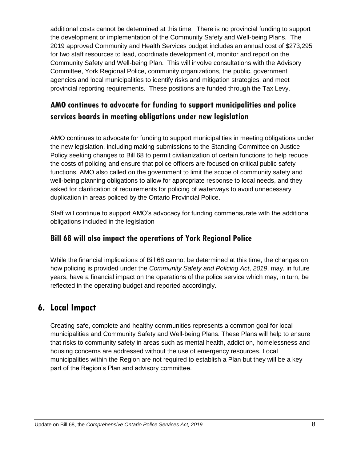additional costs cannot be determined at this time. There is no provincial funding to support the development or implementation of the Community Safety and Well-being Plans. The 2019 approved Community and Health Services budget includes an annual cost of \$273,295 for two staff resources to lead, coordinate development of, monitor and report on the Community Safety and Well-being Plan. This will involve consultations with the Advisory Committee, York Regional Police, community organizations, the public, government agencies and local municipalities to identify risks and mitigation strategies, and meet provincial reporting requirements. These positions are funded through the Tax Levy.

### **AMO continues to advocate for funding to support municipalities and police services boards in meeting obligations under new legislation**

AMO continues to advocate for funding to support municipalities in meeting obligations under the new legislation, including making submissions to the Standing Committee on Justice Policy seeking changes to Bill 68 to permit civilianization of certain functions to help reduce the costs of policing and ensure that police officers are focused on critical public safety functions. AMO also called on the government to limit the scope of community safety and well-being planning obligations to allow for appropriate response to local needs, and they asked for clarification of requirements for policing of waterways to avoid unnecessary duplication in areas policed by the Ontario Provincial Police.

Staff will continue to support AMO's advocacy for funding commensurate with the additional obligations included in the legislation

#### **Bill 68 will also impact the operations of York Regional Police**

While the financial implications of Bill 68 cannot be determined at this time, the changes on how policing is provided under the *Community Safety and Policing Act*, *2019*, may, in future years, have a financial impact on the operations of the police service which may, in turn, be reflected in the operating budget and reported accordingly.

# **6. Local Impact**

Creating safe, complete and healthy communities represents a common goal for local municipalities and Community Safety and Well-being Plans. These Plans will help to ensure that risks to community safety in areas such as mental health, addiction, homelessness and housing concerns are addressed without the use of emergency resources. Local municipalities within the Region are not required to establish a Plan but they will be a key part of the Region's Plan and advisory committee.